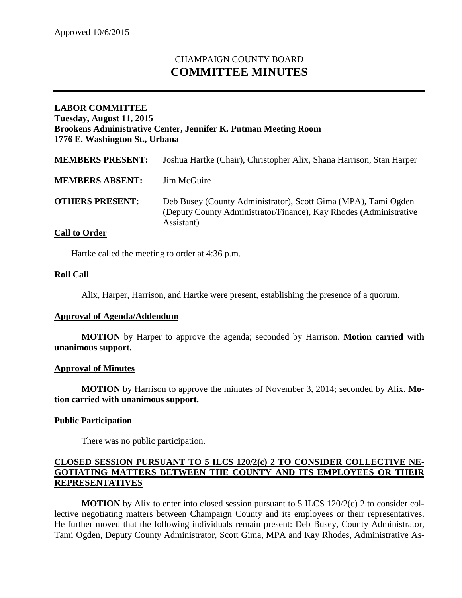# CHAMPAIGN COUNTY BOARD **COMMITTEE MINUTES**

# **LABOR COMMITTEE Tuesday, August 11, 2015 Brookens Administrative Center, Jennifer K. Putman Meeting Room 1776 E. Washington St., Urbana**

| <b>MEMBERS PRESENT:</b> | Joshua Hartke (Chair), Christopher Alix, Shana Harrison, Stan Harper                                                                              |
|-------------------------|---------------------------------------------------------------------------------------------------------------------------------------------------|
| <b>MEMBERS ABSENT:</b>  | Jim McGuire                                                                                                                                       |
| <b>OTHERS PRESENT:</b>  | Deb Busey (County Administrator), Scott Gima (MPA), Tami Ogden<br>(Deputy County Administrator/Finance), Kay Rhodes (Administrative<br>Assistant) |

## **Call to Order**

Hartke called the meeting to order at 4:36 p.m.

## **Roll Call**

Alix, Harper, Harrison, and Hartke were present, establishing the presence of a quorum.

#### **Approval of Agenda/Addendum**

**MOTION** by Harper to approve the agenda; seconded by Harrison. **Motion carried with unanimous support.**

#### **Approval of Minutes**

**MOTION** by Harrison to approve the minutes of November 3, 2014; seconded by Alix. **Motion carried with unanimous support.**

#### **Public Participation**

There was no public participation.

## **CLOSED SESSION PURSUANT TO 5 ILCS 120/2(c) 2 TO CONSIDER COLLECTIVE NE-GOTIATING MATTERS BETWEEN THE COUNTY AND ITS EMPLOYEES OR THEIR REPRESENTATIVES**

**MOTION** by Alix to enter into closed session pursuant to 5 ILCS 120/2(c) 2 to consider collective negotiating matters between Champaign County and its employees or their representatives. He further moved that the following individuals remain present: Deb Busey, County Administrator, Tami Ogden, Deputy County Administrator, Scott Gima, MPA and Kay Rhodes, Administrative As